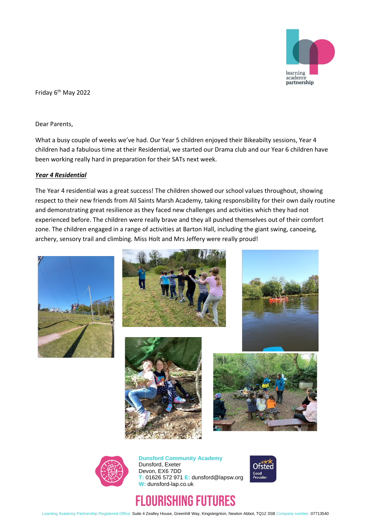

Friday 6<sup>th</sup> May 2022

Dear Parents,

What a busy couple of weeks we've had. Our Year 5 children enjoyed their Bikeabilty sessions, Year 4 children had a fabulous time at their Residential, we started our Drama club and our Year 6 children have been working really hard in preparation for their SATs next week.

## *Year 4 Residential*

The Year 4 residential was a great success! The children showed our school values throughout, showing respect to their new friends from All Saints Marsh Academy, taking responsibility for their own daily routine and demonstrating great resilience as they faced new challenges and activities which they had not experienced before. The children were really brave and they all pushed themselves out of their comfort zone. The children engaged in a range of activities at Barton Hall, including the giant swing, canoeing, archery, sensory trail and climbing. Miss Holt and Mrs Jeffery were really proud!













**Dunsford Community Academy** Dunsford, Exeter Devon, EX6 7DD **T:** 01626 572 971 **E:** dunsford@lapsw.org **W:** dunsford-lap.co.uk



# FLOURISHING FUTURES

Learning Academy Partnership Registered Office: Suite 4 Zealley House, Greenhill Way, Kingsteignton, Newton Abbot, TQ12 3SB Company number: 07713540